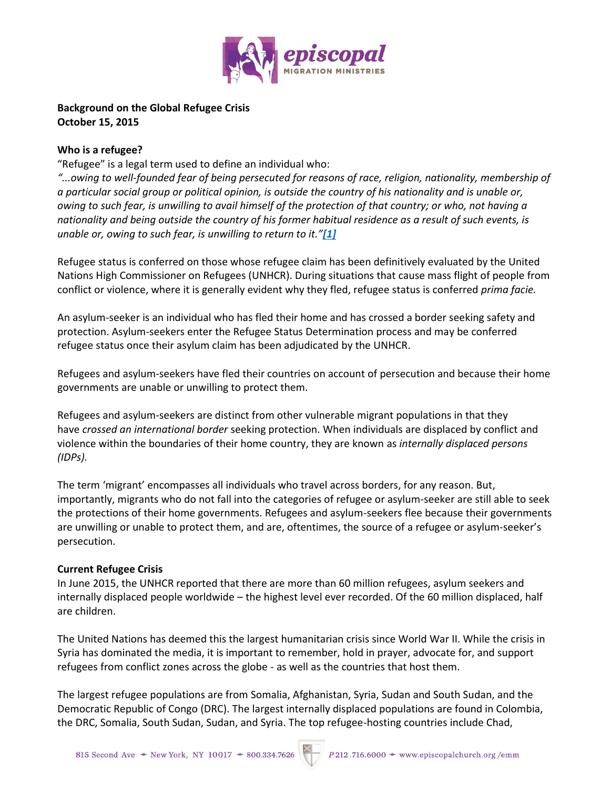

# **Background on the Global Refugee Crisis October 15, 2015**

## **Who is a refugee?**

"Refugee" is a legal term used to define an individual who:

*"...owing to well-founded fear of being persecuted for reasons of race, religion, nationality, membership of a particular social group or political opinion, is outside the country of his nationality and is unable or, owing to such fear, is unwilling to avail himself of the protection of that country; or who, not having a nationality and being outside the country of his former habitual residence as a result of such events, is unable or, owing to such fear, is unwilling to return to it."[\[1\]](https://dfms-my.sharepoint.com/personal/aduvall_dfms_onmicrosoft_com/Documents/EMM,%20Resettlement%20Brief.docx#_ftn1)*

Refugee status is conferred on those whose refugee claim has been definitively evaluated by the United Nations High Commissioner on Refugees (UNHCR). During situations that cause mass flight of people from conflict or violence, where it is generally evident why they fled, refugee status is conferred *prima facie.*

An asylum-seeker is an individual who has fled their home and has crossed a border seeking safety and protection. Asylum-seekers enter the Refugee Status Determination process and may be conferred refugee status once their asylum claim has been adjudicated by the UNHCR.

Refugees and asylum-seekers have fled their countries on account of persecution and because their home governments are unable or unwilling to protect them.

Refugees and asylum-seekers are distinct from other vulnerable migrant populations in that they have *crossed an international border* seeking protection. When individuals are displaced by conflict and violence within the boundaries of their home country, they are known as *internally displaced persons (IDPs).*

The term 'migrant' encompasses all individuals who travel across borders, for any reason. But, importantly, migrants who do not fall into the categories of refugee or asylum-seeker are still able to seek the protections of their home governments. Refugees and asylum-seekers flee because their governments are unwilling or unable to protect them, and are, oftentimes, the source of a refugee or asylum-seeker's persecution.

# **Current Refugee Crisis**

In June 2015, the UNHCR reported that there are more than 60 million refugees, asylum seekers and internally displaced people worldwide – the highest level ever recorded. Of the 60 million displaced, half are children.

The United Nations has deemed this the largest humanitarian crisis since World War II. While the crisis in Syria has dominated the media, it is important to remember, hold in prayer, advocate for, and support refugees from conflict zones across the globe - as well as the countries that host them.

The largest refugee populations are from Somalia, Afghanistan, Syria, Sudan and South Sudan, and the Democratic Republic of Congo (DRC). The largest internally displaced populations are found in Colombia, the DRC, Somalia, South Sudan, Sudan, and Syria. The top refugee-hosting countries include Chad,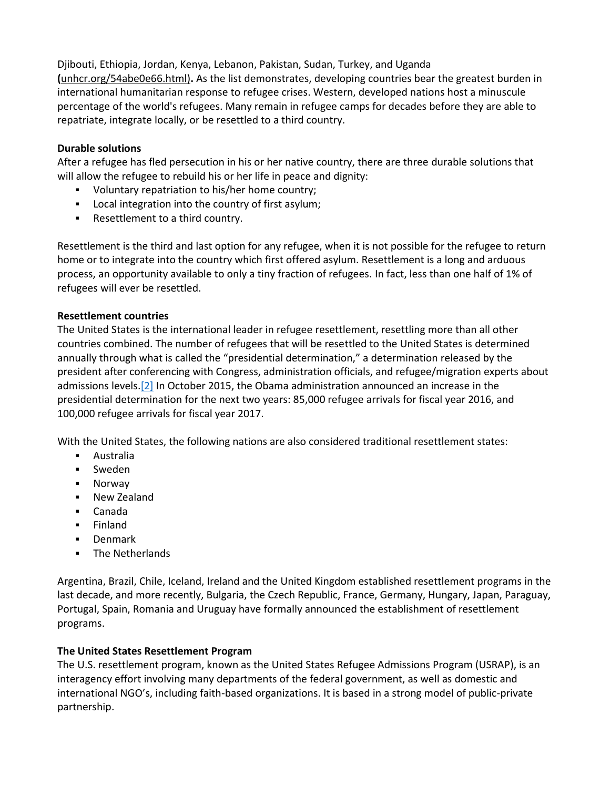Djibouti, Ethiopia, Jordan, Kenya, Lebanon, Pakistan, Sudan, Turkey, and Uganda **(**unhcr.org/54abe0e66.html)**.** As the list demonstrates, developing countries bear the greatest burden in international humanitarian response to refugee crises. Western, developed nations host a minuscule percentage of the world's refugees. Many remain in refugee camps for decades before they are able to repatriate, integrate locally, or be resettled to a third country.

## **Durable solutions**

After a refugee has fled persecution in his or her native country, there are three durable solutions that will allow the refugee to rebuild his or her life in peace and dignity:

- Voluntary repatriation to his/her home country;
- **Local integration into the country of first asylum;**
- Resettlement to a third country.

Resettlement is the third and last option for any refugee, when it is not possible for the refugee to return home or to integrate into the country which first offered asylum. Resettlement is a long and arduous process, an opportunity available to only a tiny fraction of refugees. In fact, less than one half of 1% of refugees will ever be resettled.

#### **Resettlement countries**

The United States is the international leader in refugee resettlement, resettling more than all other countries combined. The number of refugees that will be resettled to the United States is determined annually through what is called the "presidential determination," a determination released by the president after conferencing with Congress, administration officials, and refugee/migration experts about admissions levels[.\[2\]](https://dfms-my.sharepoint.com/personal/aduvall_dfms_onmicrosoft_com/Documents/EMM,%20Resettlement%20Brief.docx#_ftn2) In October 2015, the Obama administration announced an increase in the presidential determination for the next two years: 85,000 refugee arrivals for fiscal year 2016, and 100,000 refugee arrivals for fiscal year 2017.

With the United States, the following nations are also considered traditional resettlement states:

- Australia
- Sweden
- **Norway**
- New Zealand
- Canada
- **Finland**
- **Denmark**
- **-** The Netherlands

Argentina, Brazil, Chile, Iceland, Ireland and the United Kingdom established resettlement programs in the last decade, and more recently, Bulgaria, the Czech Republic, France, Germany, Hungary, Japan, Paraguay, Portugal, Spain, Romania and Uruguay have formally announced the establishment of resettlement programs.

# **The United States Resettlement Program**

The U.S. resettlement program, known as the United States Refugee Admissions Program (USRAP), is an interagency effort involving many departments of the federal government, as well as domestic and international NGO's, including faith-based organizations. It is based in a strong model of public-private partnership.